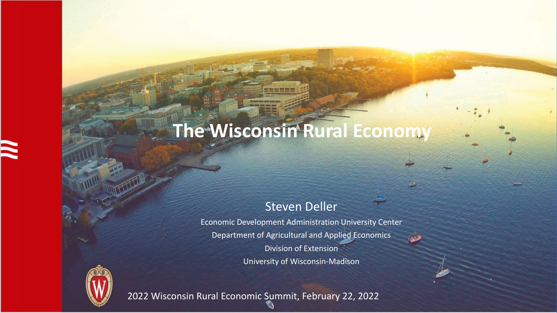# **The Wisconsin Rural Economy**

#### Steven Deller

Economic Development Administration University Center Department of Agricultural and Applied Economics Division of Extension University of Wisconsin-Madison



2022 Wisconsin Rural Economic Summit, February 22, 2022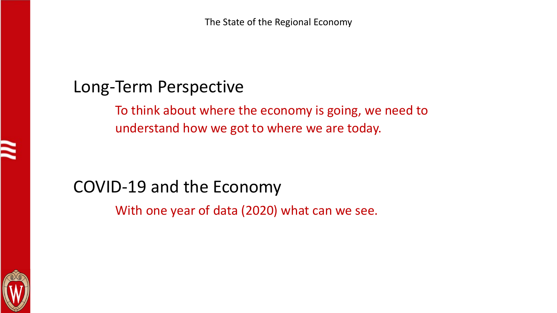## Long-Term Perspective

To think about where the economy is going, we need to understand how we got to where we are today.

## COVID-19 and the Economy

With one year of data (2020) what can we see.

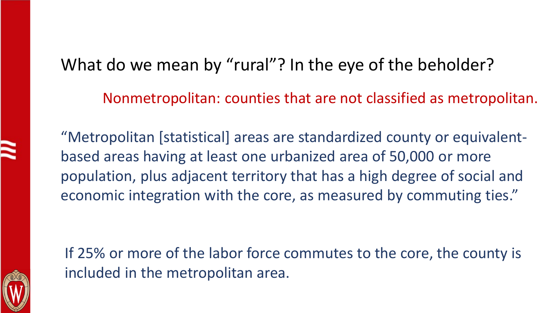## What do we mean by "rural"? In the eye of the beholder?

Nonmetropolitan: counties that are not classified as metropolitan.

"Metropolitan [statistical] areas are standardized county or equivalentbased areas having at least one urbanized area of 50,000 or more population, plus adjacent territory that has a high degree of social and economic integration with the core, as measured by commuting ties."

If 25% or more of the labor force commutes to the core, the county is included in the metropolitan area.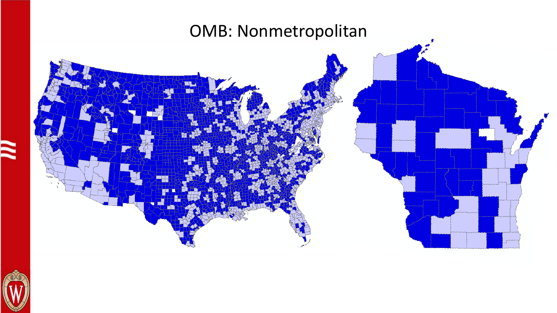

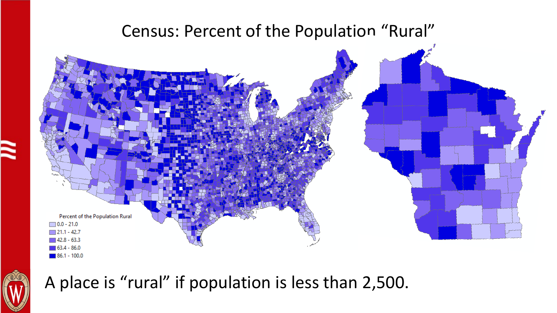## Census: Percent of the Population "Rural"





## A place is "rural" if population is less than 2,500.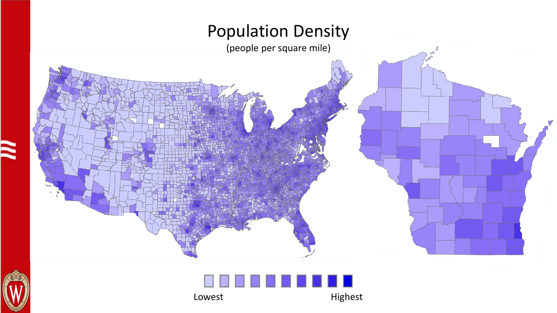



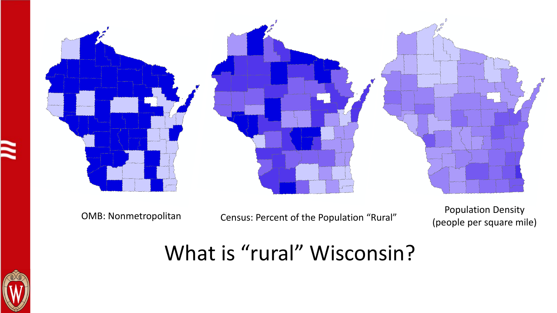

Population Density<br>OMB: Nonmetropolitan Census: Percent of the Population "Rural" Population per square mi

(people per square mile)

## What is "rural" Wisconsin?

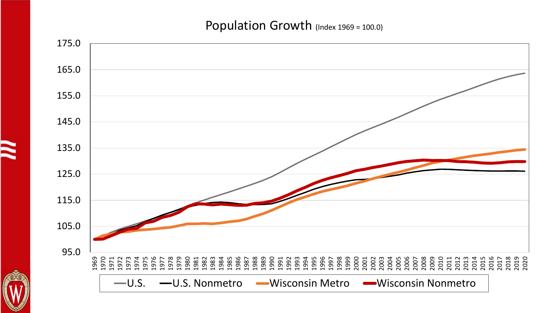#### Population Growth (Index 1969 = 100.0)

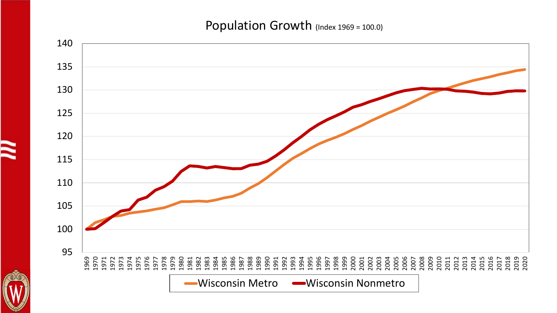#### Population Growth (Index 1969 = 100.0)

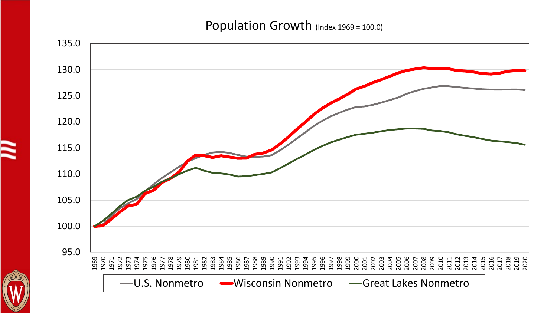#### Population Growth (Index 1969 = 100.0)

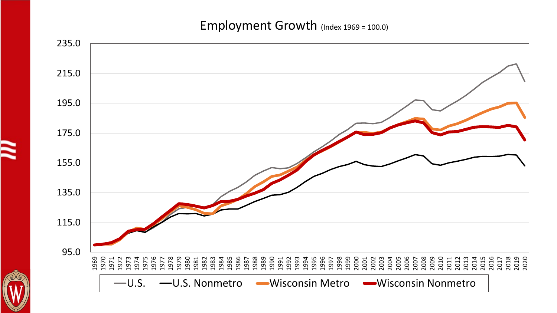#### Employment Growth (Index 1969 = 100.0)

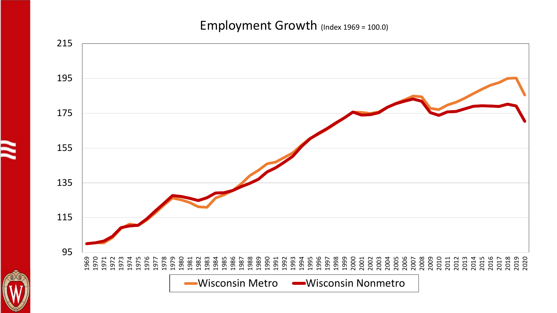#### Employment Growth (Index 1969 = 100.0)

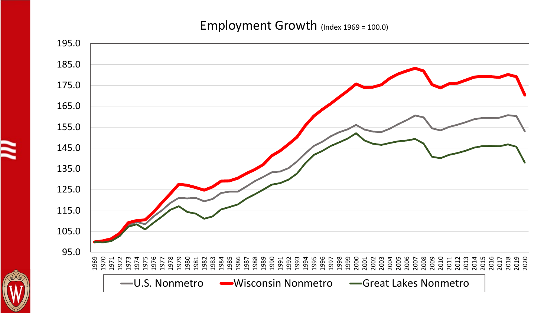#### Employment Growth (Index 1969 = 100.0)

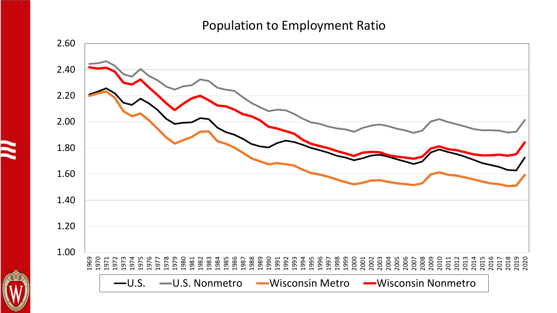#### Population to Employment Ratio

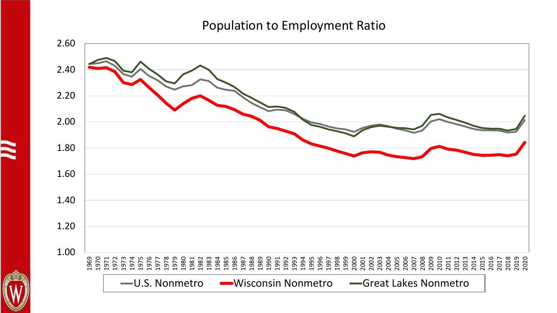#### Population to Employment Ratio



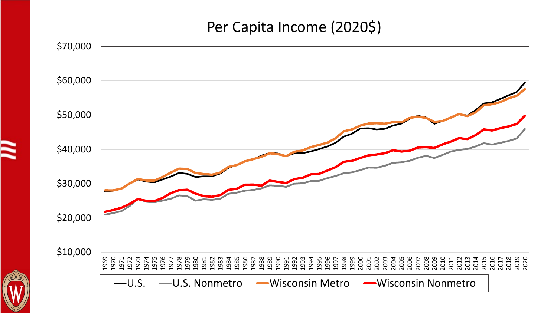## Per Capita Income (2020\$)

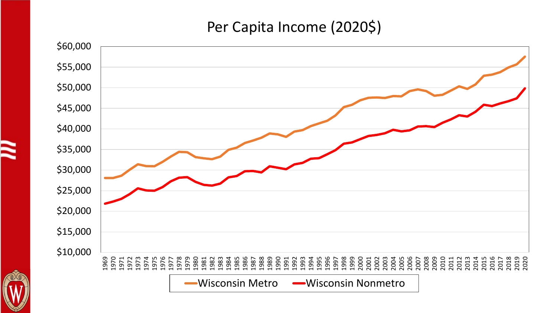## Per Capita Income (2020\$)

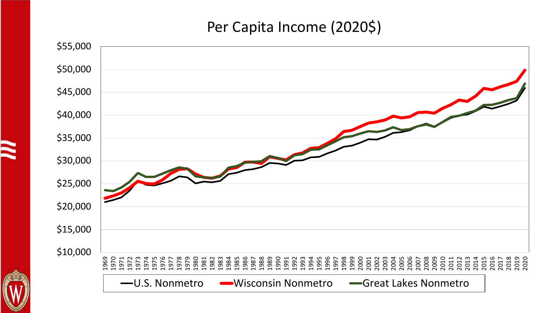## Per Capita Income (2020\$)

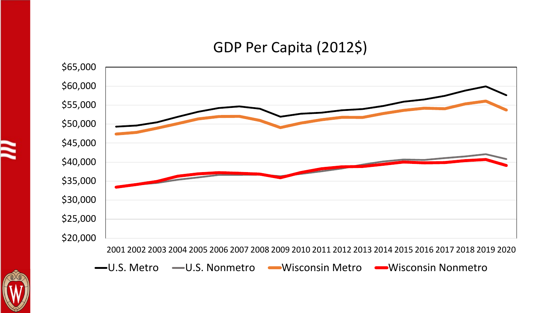## GDP Per Capita (2012\$)



**—U.S. Metro —U.S. Nonmetro → Wisconsin Metro → Wisconsin Nonmetro** 

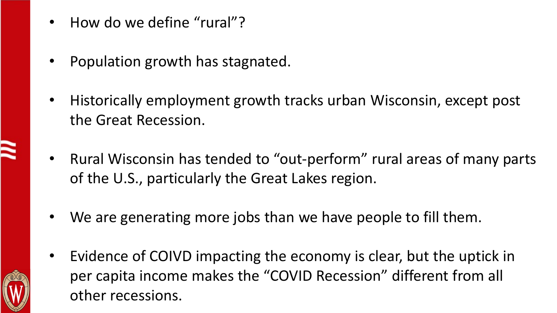- How do we define "rural"?
- Population growth has stagnated.
- Historically employment growth tracks urban Wisconsin, except post the Great Recession.
- Rural Wisconsin has tended to "out-perform" rural areas of many parts of the U.S., particularly the Great Lakes region.
- We are generating more jobs than we have people to fill them.
- Evidence of COIVD impacting the economy is clear, but the uptick in per capita income makes the "COVID Recession" different from all other recessions.